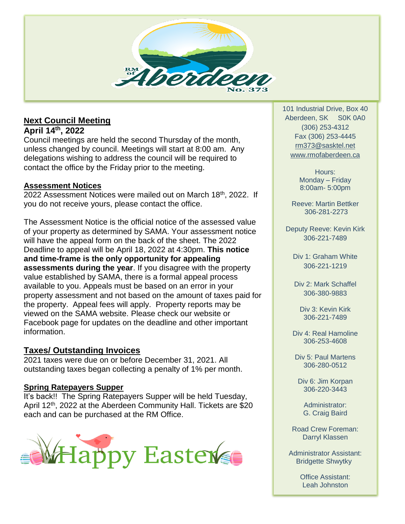

#### **Next Council Meeting April 14th, 2022**

Council meetings are held the second Thursday of the month, unless changed by council. Meetings will start at 8:00 am. Any delegations wishing to address the council will be required to contact the office by the Friday prior to the meeting.

#### **Assessment Notices**

2022 Assessment Notices were mailed out on March 18th, 2022. If you do not receive yours, please contact the office.

The Assessment Notice is the official notice of the assessed value of your property as determined by SAMA. Your assessment notice will have the appeal form on the back of the sheet. The 2022 Deadline to appeal will be April 18, 2022 at 4:30pm. **This notice and time-frame is the only opportunity for appealing assessments during the year**. If you disagree with the property value established by SAMA, there is a formal appeal process available to you. Appeals must be based on an error in your property assessment and not based on the amount of taxes paid for the property. Appeal fees will apply. Property reports may be viewed on the SAMA website. Please check our website or Facebook page for updates on the deadline and other important information.

## **Taxes/ Outstanding Invoices**

2021 taxes were due on or before December 31, 2021. All outstanding taxes began collecting a penalty of 1% per month.

#### **Spring Ratepayers Supper**

It's back!! The Spring Ratepayers Supper will be held Tuesday, April 12<sup>th</sup>, 2022 at the Aberdeen Community Hall. Tickets are \$20 each and can be purchased at the RM Office.



101 Industrial Drive, Box 40 Aberdeen, SK S0K 0A0 (306) 253-4312 Fax (306) 253-4445 [rm373@sasktel.net](mailto:rm373@sasktel.net) [www.rmofaberdeen.ca](http://www.rmofaberdeen.ca/)

> Hours: Monday – Friday 8:00am- 5:00pm

Reeve: Martin Bettker 306-281-2273

Deputy Reeve: Kevin Kirk 306-221-7489

Div 1: Graham White 306-221-1219

Div 2: Mark Schaffel 306-380-9883

Div 3: Kevin Kirk 306-221-7489

Div 4: Real Hamoline 306-253-4608

Div 5: Paul Martens 306-280-0512

Div 6: Jim Korpan 306-220-3443

Administrator: G. Craig Baird

Road Crew Foreman: Darryl Klassen

Administrator Assistant: Bridgette Shwytky

> Office Assistant: Leah Johnston